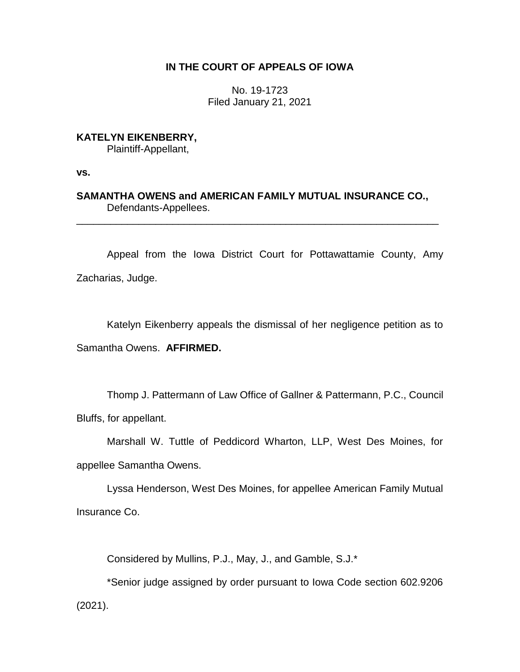## **IN THE COURT OF APPEALS OF IOWA**

No. 19-1723 Filed January 21, 2021

**KATELYN EIKENBERRY,**

Plaintiff-Appellant,

**vs.**

**SAMANTHA OWENS and AMERICAN FAMILY MUTUAL INSURANCE CO.,** Defendants-Appellees.

\_\_\_\_\_\_\_\_\_\_\_\_\_\_\_\_\_\_\_\_\_\_\_\_\_\_\_\_\_\_\_\_\_\_\_\_\_\_\_\_\_\_\_\_\_\_\_\_\_\_\_\_\_\_\_\_\_\_\_\_\_\_\_\_

Appeal from the Iowa District Court for Pottawattamie County, Amy Zacharias, Judge.

Katelyn Eikenberry appeals the dismissal of her negligence petition as to Samantha Owens. **AFFIRMED.**

Thomp J. Pattermann of Law Office of Gallner & Pattermann, P.C., Council Bluffs, for appellant.

Marshall W. Tuttle of Peddicord Wharton, LLP, West Des Moines, for appellee Samantha Owens.

Lyssa Henderson, West Des Moines, for appellee American Family Mutual Insurance Co.

Considered by Mullins, P.J., May, J., and Gamble, S.J.\*

\*Senior judge assigned by order pursuant to Iowa Code section 602.9206 (2021).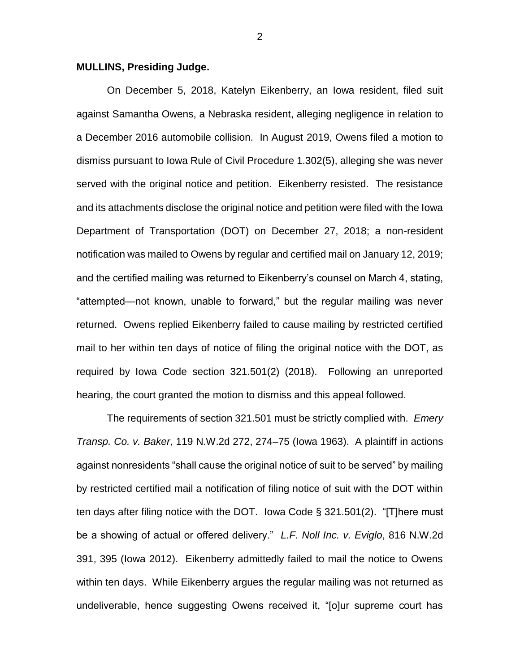## **MULLINS, Presiding Judge.**

On December 5, 2018, Katelyn Eikenberry, an Iowa resident, filed suit against Samantha Owens, a Nebraska resident, alleging negligence in relation to a December 2016 automobile collision. In August 2019, Owens filed a motion to dismiss pursuant to Iowa Rule of Civil Procedure 1.302(5), alleging she was never served with the original notice and petition. Eikenberry resisted. The resistance and its attachments disclose the original notice and petition were filed with the Iowa Department of Transportation (DOT) on December 27, 2018; a non-resident notification was mailed to Owens by regular and certified mail on January 12, 2019; and the certified mailing was returned to Eikenberry's counsel on March 4, stating, "attempted—not known, unable to forward," but the regular mailing was never returned. Owens replied Eikenberry failed to cause mailing by restricted certified mail to her within ten days of notice of filing the original notice with the DOT, as required by Iowa Code section 321.501(2) (2018). Following an unreported hearing, the court granted the motion to dismiss and this appeal followed.

The requirements of section 321.501 must be strictly complied with. *Emery Transp. Co. v. Baker*, 119 N.W.2d 272, 274–75 (Iowa 1963). A plaintiff in actions against nonresidents "shall cause the original notice of suit to be served" by mailing by restricted certified mail a notification of filing notice of suit with the DOT within ten days after filing notice with the DOT. Iowa Code § 321.501(2). "[T]here must be a showing of actual or offered delivery." *L.F. Noll Inc. v. Eviglo*, 816 N.W.2d 391, 395 (Iowa 2012). Eikenberry admittedly failed to mail the notice to Owens within ten days. While Eikenberry argues the regular mailing was not returned as undeliverable, hence suggesting Owens received it, "[o]ur supreme court has